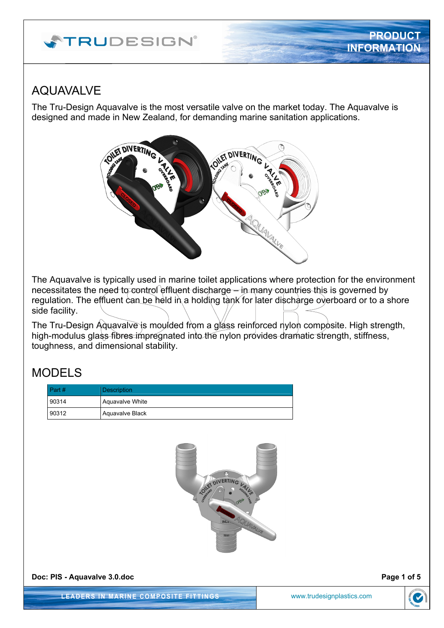# **ATRUDESIGN**®

### AQUAVALVE

The Tru-Design Aquavalve is the most versatile valve on the market today. The Aquavalve is designed and made in New Zealand, for demanding marine sanitation applications.



The Aquavalve is typically used in marine toilet applications where protection for the environment necessitates the need to control effluent discharge – in many countries this is governed by regulation. The effluent can be held in a holding tank for later discharge overboard or to a shore side facility.

The Tru-Design Aguavalve is moulded from a glass reinforced nylon composite. High strength, high-modulus glass fibres impregnated into the nylon provides dramatic strength, stiffness, toughness, and dimensional stability.

## MODELS

| Part # | <b>Description</b> |
|--------|--------------------|
| 90314  | Aquavalve White    |
| 90312  | Aguavalve Black    |



**Doc: PIS - Aquavalve 3.0.doc** Page 1 of 5

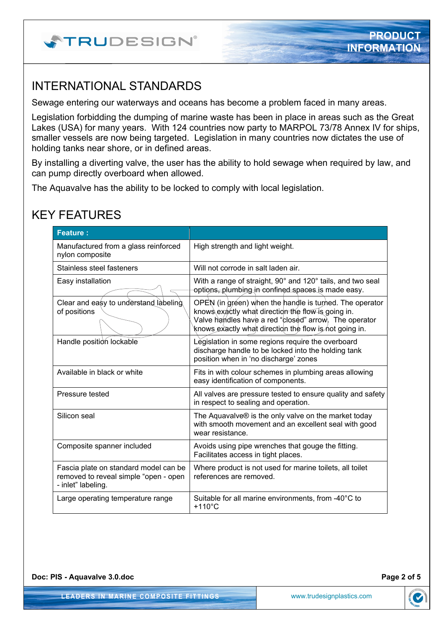

### INTERNATIONAL STANDARDS

Sewage entering our waterways and oceans has become a problem faced in many areas.

Legislation forbidding the dumping of marine waste has been in place in areas such as the Great Lakes (USA) for many years. With 124 countries now party to MARPOL 73/78 Annex IV for ships, smaller vessels are now being targeted. Legislation in many countries now dictates the use of holding tanks near shore, or in defined areas.

By installing a diverting valve, the user has the ability to hold sewage when required by law, and can pump directly overboard when allowed.

The Aquavalve has the ability to be locked to comply with local legislation.

## KEY FEATURES

| <b>Feature:</b>                                                                                      |                                                                                                                                                                                                                                  |
|------------------------------------------------------------------------------------------------------|----------------------------------------------------------------------------------------------------------------------------------------------------------------------------------------------------------------------------------|
| Manufactured from a glass reinforced<br>nylon composite                                              | High strength and light weight.                                                                                                                                                                                                  |
| Stainless steel fasteners                                                                            | Will not corrode in salt laden air.                                                                                                                                                                                              |
| Easy installation                                                                                    | With a range of straight, 90° and 120° tails, and two seal<br>options, plumbing in confined spaces is made easy.                                                                                                                 |
| Clear and easy to understand labeling<br>of positions                                                | OPEN (in gréen) when the handle is turned. The operator<br>knows exactly what direction the flow is going in.<br>Valve handles have a red "closed" arrow. The operator<br>knows exactly what direction the flow is not going in. |
| Handle position lockable                                                                             | Legislation in some regions require the overboard<br>discharge handle to be locked into the holding tank<br>position when in 'no discharge' zones                                                                                |
| Available in black or white                                                                          | Fits in with colour schemes in plumbing areas allowing<br>easy identification of components.                                                                                                                                     |
| Pressure tested                                                                                      | All valves are pressure tested to ensure quality and safety<br>in respect to sealing and operation.                                                                                                                              |
| Silicon seal                                                                                         | The Aquavalve® is the only valve on the market today<br>with smooth movement and an excellent seal with good<br>wear resistance.                                                                                                 |
| Composite spanner included                                                                           | Avoids using pipe wrenches that gouge the fitting.<br>Facilitates access in tight places.                                                                                                                                        |
| Fascia plate on standard model can be<br>removed to reveal simple "open - open<br>- inlet" labeling. | Where product is not used for marine toilets, all toilet<br>references are removed.                                                                                                                                              |
| Large operating temperature range                                                                    | Suitable for all marine environments, from -40°C to<br>$+110^{\circ}$ C                                                                                                                                                          |

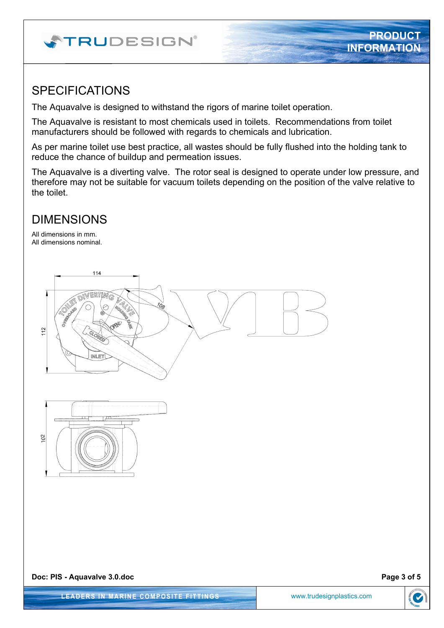# **ATRUDESIGN®**

#### SPECIFICATIONS

The Aquavalve is designed to withstand the rigors of marine toilet operation.

The Aquavalve is resistant to most chemicals used in toilets. Recommendations from toilet manufacturers should be followed with regards to chemicals and lubrication.

As per marine toilet use best practice, all wastes should be fully flushed into the holding tank to reduce the chance of buildup and permeation issues.

The Aquavalve is a diverting valve. The rotor seal is designed to operate under low pressure, and therefore may not be suitable for vacuum toilets depending on the position of the valve relative to the toilet.

### DIMENSIONS

All dimensions in mm. All dimensions nominal.



**PRODUCT**

**INFORMATION**

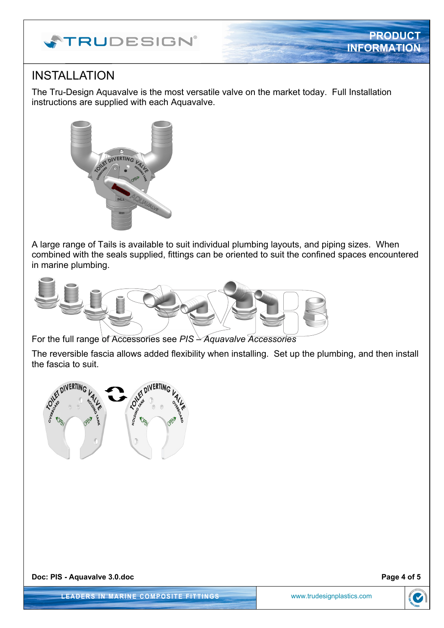

## INSTALLATION

The Tru-Design Aquavalve is the most versatile valve on the market today. Full Installation instructions are supplied with each Aquavalve.



A large range of Tails is available to suit individual plumbing layouts, and piping sizes. When combined with the seals supplied, fittings can be oriented to suit the confined spaces encountered in marine plumbing.



For the full range of Accessories see *PIS – Aquavalve Accessories*

The reversible fascia allows added flexibility when installing. Set up the plumbing, and then install the fascia to suit.